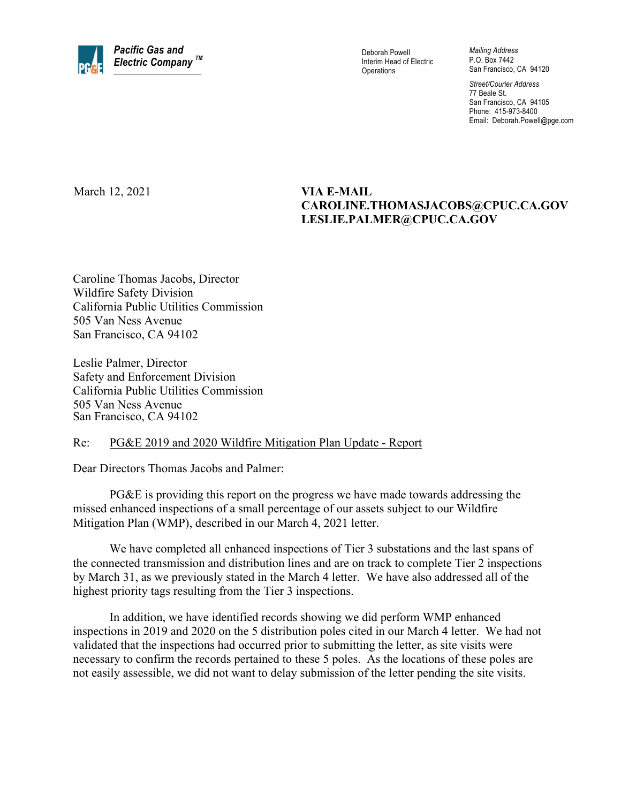

Interim Head of Electric **Operations** 

*Mailing Address*  P.O. Box 7442 San Francisco, CA 94120

*Street/Courier Address*  77 Beale St. San Francisco, CA 94105 Phone: 415-973-8400 Email: Deborah.Powell@pge.com

March 12, 2021 **VIA E-MAIL** 

## **CAROLINE.THOMASJACOBS@CPUC.CA.GOV LESLIE.PALMER@CPUC.CA.GOV**

Caroline Thomas Jacobs, Director Wildfire Safety Division California Public Utilities Commission 505 Van Ness Avenue San Francisco, CA 94102

Leslie Palmer, Director Safety and Enforcement Division California Public Utilities Commission 505 Van Ness Avenue San Francisco, CA 94102

## Re: PG&E 2019 and 2020 Wildfire Mitigation Plan Update - Report

Dear Directors Thomas Jacobs and Palmer:

PG&E is providing this report on the progress we have made towards addressing the missed enhanced inspections of a small percentage of our assets subject to our Wildfire Mitigation Plan (WMP), described in our March 4, 2021 letter.

We have completed all enhanced inspections of Tier 3 substations and the last spans of the connected transmission and distribution lines and are on track to complete Tier 2 inspections by March 31, as we previously stated in the March 4 letter. We have also addressed all of the highest priority tags resulting from the Tier 3 inspections.

In addition, we have identified records showing we did perform WMP enhanced inspections in 2019 and 2020 on the 5 distribution poles cited in our March 4 letter. We had not validated that the inspections had occurred prior to submitting the letter, as site visits were necessary to confirm the records pertained to these 5 poles. As the locations of these poles are not easily assessible, we did not want to delay submission of the letter pending the site visits.